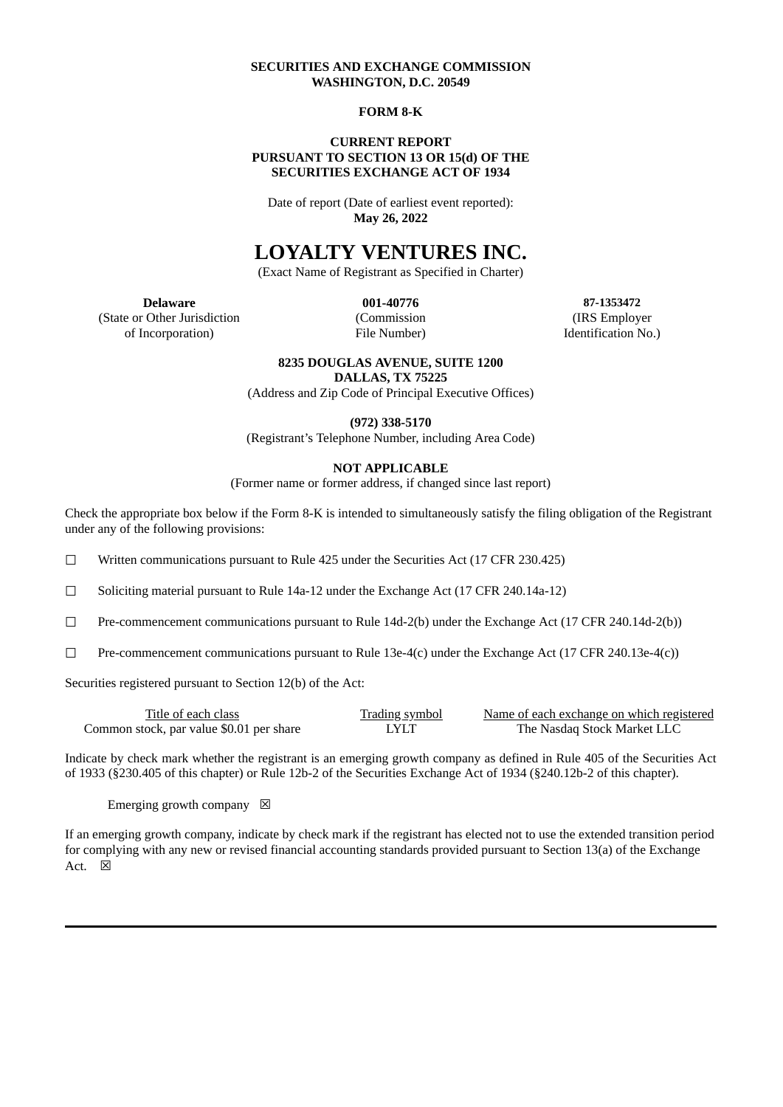# **SECURITIES AND EXCHANGE COMMISSION WASHINGTON, D.C. 20549**

#### **FORM 8-K**

#### **CURRENT REPORT PURSUANT TO SECTION 13 OR 15(d) OF THE SECURITIES EXCHANGE ACT OF 1934**

Date of report (Date of earliest event reported): **May 26, 2022**

# **LOYALTY VENTURES INC.**

(Exact Name of Registrant as Specified in Charter)

(State or Other Jurisdiction (Commission (IRS Employer of Incorporation) File Number) Identification No.)

**Delaware 001-40776 87-1353472**

#### **8235 DOUGLAS AVENUE, SUITE 1200**

**DALLAS, TX 75225**

(Address and Zip Code of Principal Executive Offices)

**(972) 338-5170**

(Registrant's Telephone Number, including Area Code)

#### **NOT APPLICABLE**

(Former name or former address, if changed since last report)

Check the appropriate box below if the Form 8-K is intended to simultaneously satisfy the filing obligation of the Registrant under any of the following provisions:

☐ Written communications pursuant to Rule 425 under the Securities Act (17 CFR 230.425)

☐ Soliciting material pursuant to Rule 14a-12 under the Exchange Act (17 CFR 240.14a-12)

 $\Box$  Pre-commencement communications pursuant to Rule 14d-2(b) under the Exchange Act (17 CFR 240.14d-2(b))

☐ Pre-commencement communications pursuant to Rule 13e-4(c) under the Exchange Act (17 CFR 240.13e-4(c))

Securities registered pursuant to Section 12(b) of the Act:

| Title of each class                      | <b>Trading symbol</b> | Name of each exchange on which registered |
|------------------------------------------|-----------------------|-------------------------------------------|
| Common stock, par value \$0.01 per share | <b>LYLT</b>           | The Nasdag Stock Market LLC               |

Indicate by check mark whether the registrant is an emerging growth company as defined in Rule 405 of the Securities Act of 1933 (§230.405 of this chapter) or Rule 12b-2 of the Securities Exchange Act of 1934 (§240.12b-2 of this chapter).

Emerging growth company  $\boxtimes$ 

If an emerging growth company, indicate by check mark if the registrant has elected not to use the extended transition period for complying with any new or revised financial accounting standards provided pursuant to Section 13(a) of the Exchange Act.  $\boxtimes$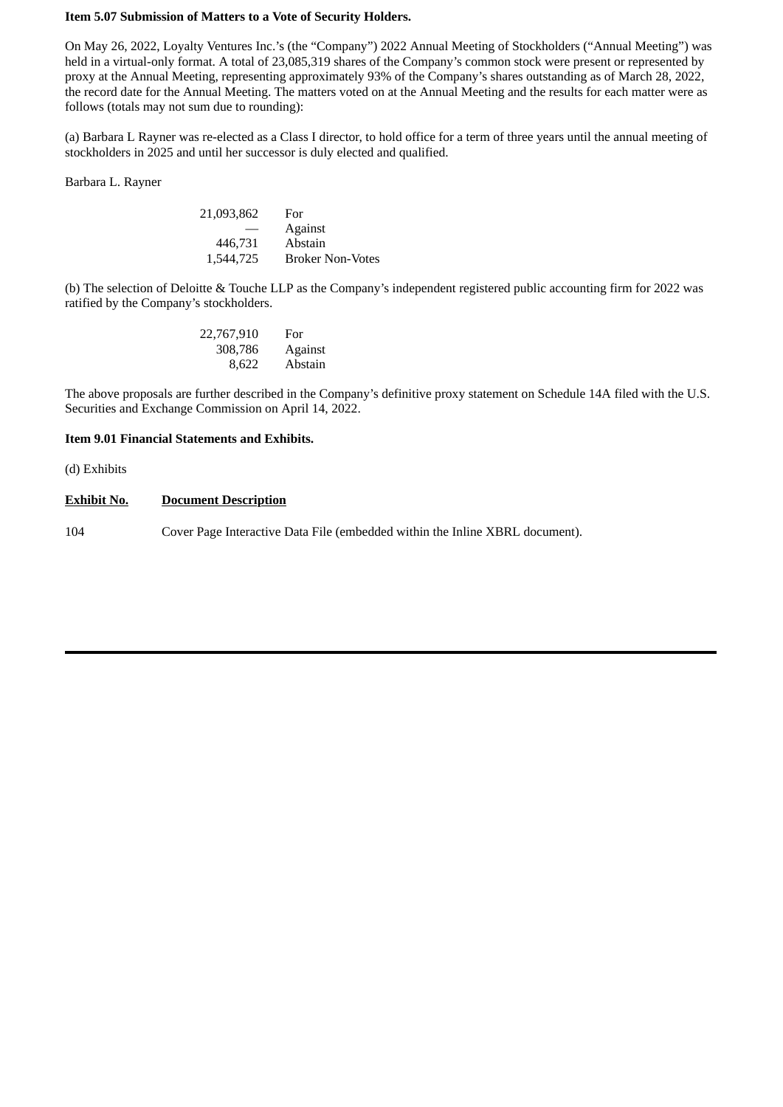# **Item 5.07 Submission of Matters to a Vote of Security Holders.**

On May 26, 2022, Loyalty Ventures Inc.'s (the "Company") 2022 Annual Meeting of Stockholders ("Annual Meeting") was held in a virtual-only format. A total of 23,085,319 shares of the Company's common stock were present or represented by proxy at the Annual Meeting, representing approximately 93% of the Company's shares outstanding as of March 28, 2022, the record date for the Annual Meeting. The matters voted on at the Annual Meeting and the results for each matter were as follows (totals may not sum due to rounding):

(a) Barbara L Rayner was re-elected as a Class I director, to hold office for a term of three years until the annual meeting of stockholders in 2025 and until her successor is duly elected and qualified.

Barbara L. Rayner

| 21,093,862 | For                     |
|------------|-------------------------|
|            | Against                 |
| 446,731    | Abstain                 |
| 1,544,725  | <b>Broker Non-Votes</b> |

(b) The selection of Deloitte & Touche LLP as the Company's independent registered public accounting firm for 2022 was ratified by the Company's stockholders.

| 22,767,910 | For     |
|------------|---------|
| 308,786    | Against |
| 8,622      | Abstain |

The above proposals are further described in the Company's definitive proxy statement on Schedule 14A filed with the U.S. Securities and Exchange Commission on April 14, 2022.

# **Item 9.01 Financial Statements and Exhibits.**

(d) Exhibits

#### **Exhibit No. Document Description**

104 Cover Page Interactive Data File (embedded within the Inline XBRL document).